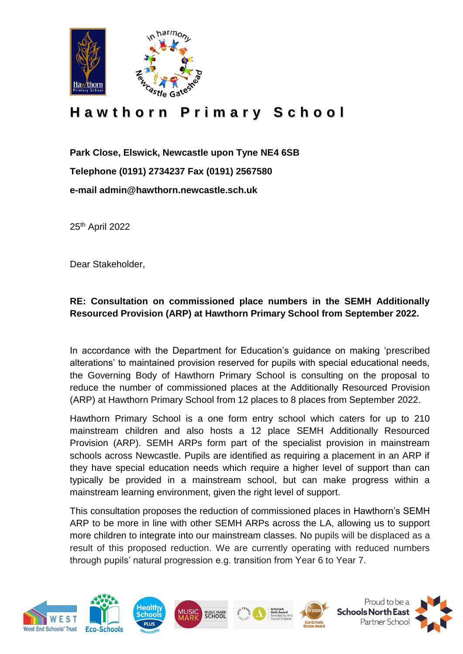

## **H a w t h o r n P r i m a r y S c h o o l**

**Park Close, Elswick, Newcastle upon Tyne NE4 6SB Telephone (0191) 2734237 Fax (0191) 2567580 e-mail admin@hawthorn.newcastle.sch.uk**

25th April 2022

Dear Stakeholder,

## **RE: Consultation on commissioned place numbers in the SEMH Additionally Resourced Provision (ARP) at Hawthorn Primary School from September 2022.**

In accordance with the Department for Education's guidance on making 'prescribed alterations' to maintained provision reserved for pupils with special educational needs, the Governing Body of Hawthorn Primary School is consulting on the proposal to reduce the number of commissioned places at the Additionally Resourced Provision (ARP) at Hawthorn Primary School from 12 places to 8 places from September 2022.

Hawthorn Primary School is a one form entry school which caters for up to 210 mainstream children and also hosts a 12 place SEMH Additionally Resourced Provision (ARP). SEMH ARPs form part of the specialist provision in mainstream schools across Newcastle. Pupils are identified as requiring a placement in an ARP if they have special education needs which require a higher level of support than can typically be provided in a mainstream school, but can make progress within a mainstream learning environment, given the right level of support.

This consultation proposes the reduction of commissioned places in Hawthorn's SEMH ARP to be more in line with other SEMH ARPs across the LA, allowing us to support more children to integrate into our mainstream classes. No pupils will be displaced as a result of this proposed reduction. We are currently operating with reduced numbers through pupils' natural progression e.g. transition from Year 6 to Year 7.

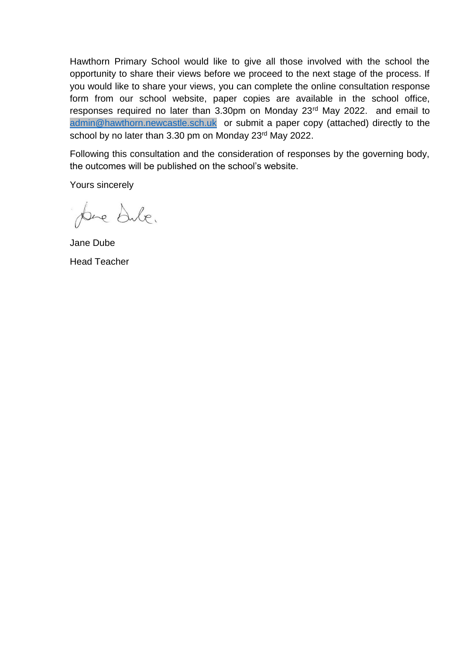Hawthorn Primary School would like to give all those involved with the school the opportunity to share their views before we proceed to the next stage of the process. If you would like to share your views, you can complete the online consultation response form from our school website, paper copies are available in the school office, responses required no later than 3.30pm on Monday 23<sup>rd</sup> May 2022. and email to [admin@hawthorn.newcastle.sch.uk](mailto:admin@hawthorn.newcastle.sch.uk) or submit a paper copy (attached) directly to the school by no later than 3.30 pm on Monday 23rd May 2022.

Following this consultation and the consideration of responses by the governing body, the outcomes will be published on the school's website.

Yours sincerely

pre dule.

Jane Dube Head Teacher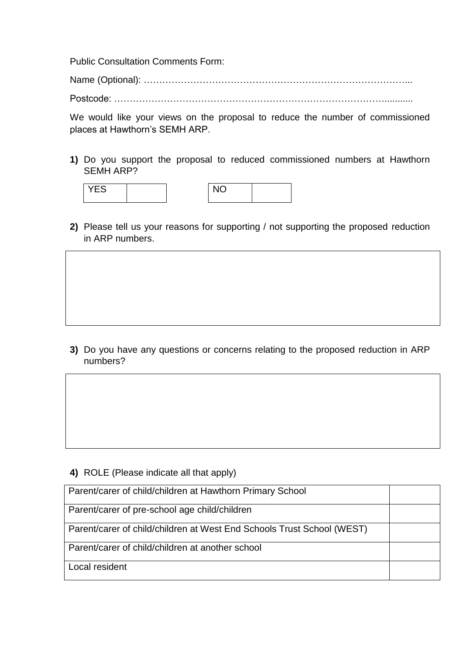Public Consultation Comments Form:

Name (Optional): …………………………………………………………………………...

Postcode: ……………………………………………………………………………...........

We would like your views on the proposal to reduce the number of commissioned places at Hawthorn's SEMH ARP.

**1)** Do you support the proposal to reduced commissioned numbers at Hawthorn SEMH ARP?



**2)** Please tell us your reasons for supporting / not supporting the proposed reduction in ARP numbers.

**3)** Do you have any questions or concerns relating to the proposed reduction in ARP numbers?

**4)** ROLE (Please indicate all that apply)

| Parent/carer of child/children at Hawthorn Primary School              |  |
|------------------------------------------------------------------------|--|
| Parent/carer of pre-school age child/children                          |  |
| Parent/carer of child/children at West End Schools Trust School (WEST) |  |
| Parent/carer of child/children at another school                       |  |
| Local resident                                                         |  |